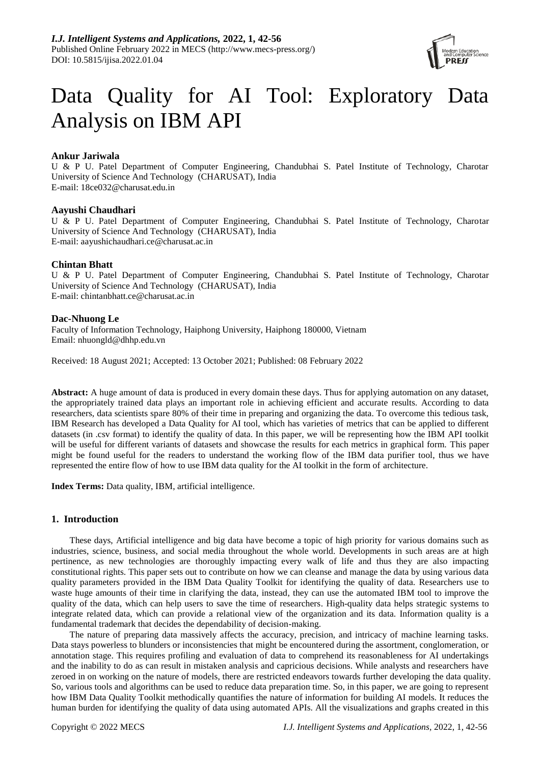

# Data Quality for AI Tool: Exploratory Data Analysis on IBM API

# **Ankur Jariwala**

U & P U. Patel Department of Computer Engineering, Chandubhai S. Patel Institute of Technology, Charotar University of Science And Technology (CHARUSAT), India E-mail: [18ce032@charusat.edu.in](mailto:18ce032@charusat.edu.in)

## **Aayushi Chaudhari**

U & P U. Patel Department of Computer Engineering, Chandubhai S. Patel Institute of Technology, Charotar University of Science And Technology (CHARUSAT), India E-mail: [aayushichaudhari.ce@charusat.ac.in](mailto:aayushichaudhari.ce@charusat.ac.in)

# **Chintan Bhatt**

U & P U. Patel Department of Computer Engineering, Chandubhai S. Patel Institute of Technology, Charotar University of Science And Technology (CHARUSAT), India E-mail: [chintanbhatt.ce@charusat.ac.in](mailto:chintanbhatt.ce@charusat.ac.in)

# **Dac-Nhuong Le**

Faculty of Information Technology, Haiphong University, Haiphong 180000, Vietnam Email: [nhuongld@dhhp.edu.vn](mailto:nhuongld@dhhp.edu.vn)

Received: 18 August 2021; Accepted: 13 October 2021; Published: 08 February 2022

**Abstract:** A huge amount of data is produced in every domain these days. Thus for applying automation on any dataset, the appropriately trained data plays an important role in achieving efficient and accurate results. According to data researchers, data scientists spare 80% of their time in preparing and organizing the data. To overcome this tedious task, IBM Research has developed a Data Quality for AI tool, which has varieties of metrics that can be applied to different datasets (in .csv format) to identify the quality of data. In this paper, we will be representing how the IBM API toolkit will be useful for different variants of datasets and showcase the results for each metrics in graphical form. This paper might be found useful for the readers to understand the working flow of the IBM data purifier tool, thus we have represented the entire flow of how to use IBM data quality for the AI toolkit in the form of architecture.

**Index Terms:** Data quality, IBM, artificial intelligence.

## **1. Introduction**

These days, Artificial intelligence and big data have become a topic of high priority for various domains such as industries, science, business, and social media throughout the whole world. Developments in such areas are at high pertinence, as new technologies are thoroughly impacting every walk of life and thus they are also impacting constitutional rights. This paper sets out to contribute on how we can cleanse and manage the data by using various data quality parameters provided in the IBM Data Quality Toolkit for identifying the quality of data. Researchers use to waste huge amounts of their time in clarifying the data, instead, they can use the automated IBM tool to improve the quality of the data, which can help users to save the time of researchers. High-quality data helps strategic systems to integrate related data, which can provide a relational view of the organization and its data. Information quality is a fundamental trademark that decides the dependability of decision-making.

The nature of preparing data massively affects the accuracy, precision, and intricacy of machine learning tasks. Data stays powerless to blunders or inconsistencies that might be encountered during the assortment, conglomeration, or annotation stage. This requires profiling and evaluation of data to comprehend its reasonableness for AI undertakings and the inability to do as can result in mistaken analysis and capricious decisions. While analysts and researchers have zeroed in on working on the nature of models, there are restricted endeavors towards further developing the data quality. So, various tools and algorithms can be used to reduce data preparation time. So, in this paper, we are going to represent how IBM Data Quality Toolkit methodically quantifies the nature of information for building AI models. It reduces the human burden for identifying the quality of data using automated APIs. All the visualizations and graphs created in this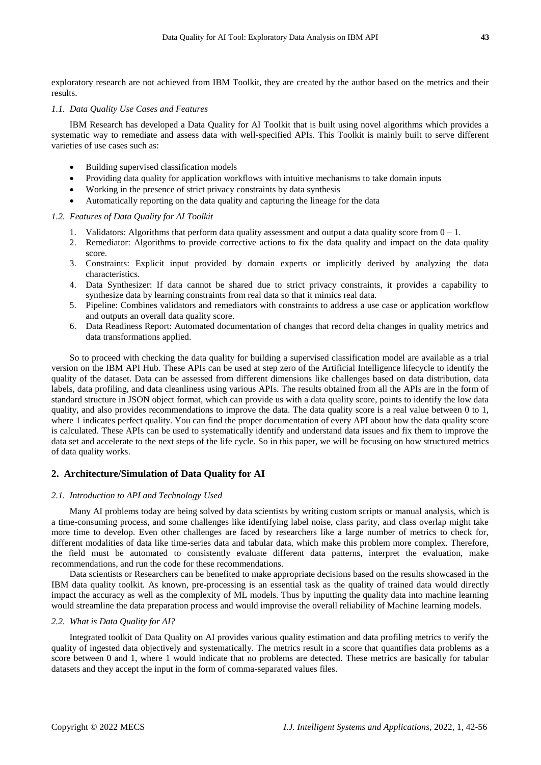exploratory research are not achieved from IBM Toolkit, they are created by the author based on the metrics and their results.

### *1.1. Data Quality Use Cases and Features*

IBM Research has developed a Data Quality for AI Toolkit that is built using novel algorithms which provides a systematic way to remediate and assess data with well-specified APIs. This Toolkit is mainly built to serve different varieties of use cases such as:

- Building supervised classification models
- Providing data quality for application workflows with intuitive mechanisms to take domain inputs
- Working in the presence of strict privacy constraints by data synthesis
- Automatically reporting on the data quality and capturing the lineage for the data

## *1.2. Features of Data Quality for AI Toolkit*

- 1. Validators: Algorithms that perform data quality assessment and output a data quality score from  $0 1$ .
- 2. Remediator: Algorithms to provide corrective actions to fix the data quality and impact on the data quality score.
- 3. Constraints: Explicit input provided by domain experts or implicitly derived by analyzing the data characteristics.
- 4. Data Synthesizer: If data cannot be shared due to strict privacy constraints, it provides a capability to synthesize data by learning constraints from real data so that it mimics real data.
- 5. Pipeline: Combines validators and remediators with constraints to address a use case or application workflow and outputs an overall data quality score.
- 6. Data Readiness Report: Automated documentation of changes that record delta changes in quality metrics and data transformations applied.

So to proceed with checking the data quality for building a supervised classification model are available as a trial version on the IBM API Hub. These APIs can be used at step zero of the Artificial Intelligence lifecycle to identify the quality of the dataset. Data can be assessed from different dimensions like challenges based on data distribution, data labels, data profiling, and data cleanliness using various APIs. The results obtained from all the APIs are in the form of standard structure in JSON object format, which can provide us with a data quality score, points to identify the low data quality, and also provides recommendations to improve the data. The data quality score is a real value between 0 to 1, where 1 indicates perfect quality. You can find the proper documentation of every API about how the data quality score is calculated. These APIs can be used to systematically identify and understand data issues and fix them to improve the data set and accelerate to the next steps of the life cycle. So in this paper, we will be focusing on how structured metrics of data quality works.

## **2. Architecture/Simulation of Data Quality for AI**

## *2.1. Introduction to API and Technology Used*

Many AI problems today are being solved by data scientists by writing custom scripts or manual analysis, which is a time-consuming process, and some challenges like identifying label noise, class parity, and class overlap might take more time to develop. Even other challenges are faced by researchers like a large number of metrics to check for, different modalities of data like time-series data and tabular data, which make this problem more complex. Therefore, the field must be automated to consistently evaluate different data patterns, interpret the evaluation, make recommendations, and run the code for these recommendations.

Data scientists or Researchers can be benefited to make appropriate decisions based on the results showcased in the IBM data quality toolkit. As known, pre-processing is an essential task as the quality of trained data would directly impact the accuracy as well as the complexity of ML models. Thus by inputting the quality data into machine learning would streamline the data preparation process and would improvise the overall reliability of Machine learning models.

#### *2.2. What is Data Quality for AI?*

Integrated toolkit of Data Quality on AI provides various quality estimation and data profiling metrics to verify the quality of ingested data objectively and systematically. The metrics result in a score that quantifies data problems as a score between 0 and 1, where 1 would indicate that no problems are detected. These metrics are basically for tabular datasets and they accept the input in the form of comma-separated values files.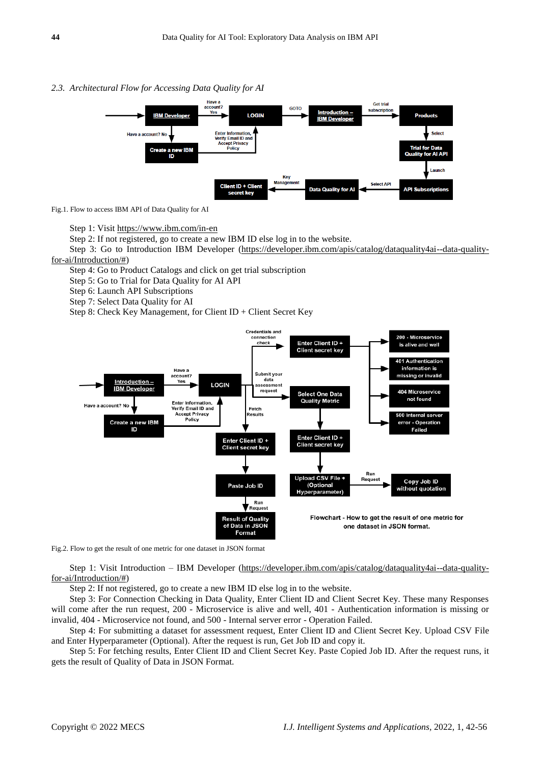#### *2.3. Architectural Flow for Accessing Data Quality for AI*



Fig.1. Flow to access IBM API of Data Quality for AI

Step 1: Visit<https://www.ibm.com/in-en>

Step 2: If not registered, go to create a new IBM ID else log in to the website.

Step 3: Go to Introduction IBM Developer [\(https://developer.ibm.com/apis/catalog/dataquality4ai--data-quality](https://developer.ibm.com/apis/catalog/dataquality4ai--data-quality-for-ai/Introduction/)[for-ai/Introduction/#\)](https://developer.ibm.com/apis/catalog/dataquality4ai--data-quality-for-ai/Introduction/)

Step 4: Go to Product Catalogs and click on get trial subscription

Step 5: Go to Trial for Data Quality for AI API

Step 6: Launch API Subscriptions

Step 7: Select Data Quality for AI

Step 8: Check Key Management, for Client ID + Client Secret Key



Fig.2. Flow to get the result of one metric for one dataset in JSON format

Step 1: Visit Introduction – IBM Developer [\(https://developer.ibm.com/apis/catalog/dataquality4ai--data-quality](https://developer.ibm.com/apis/catalog/dataquality4ai--data-quality-for-ai/Introduction/)[for-ai/Introduction/#\)](https://developer.ibm.com/apis/catalog/dataquality4ai--data-quality-for-ai/Introduction/)

Step 2: If not registered, go to create a new IBM ID else log in to the website.

Step 3: For Connection Checking in Data Quality, Enter Client ID and Client Secret Key. These many Responses will come after the run request, 200 - Microservice is alive and well, 401 - Authentication information is missing or invalid, 404 - Microservice not found, and 500 - Internal server error - Operation Failed.

Step 4: For submitting a dataset for assessment request, Enter Client ID and Client Secret Key. Upload CSV File and Enter Hyperparameter (Optional). After the request is run, Get Job ID and copy it.

Step 5: For fetching results, Enter Client ID and Client Secret Key. Paste Copied Job ID. After the request runs, it gets the result of Quality of Data in JSON Format.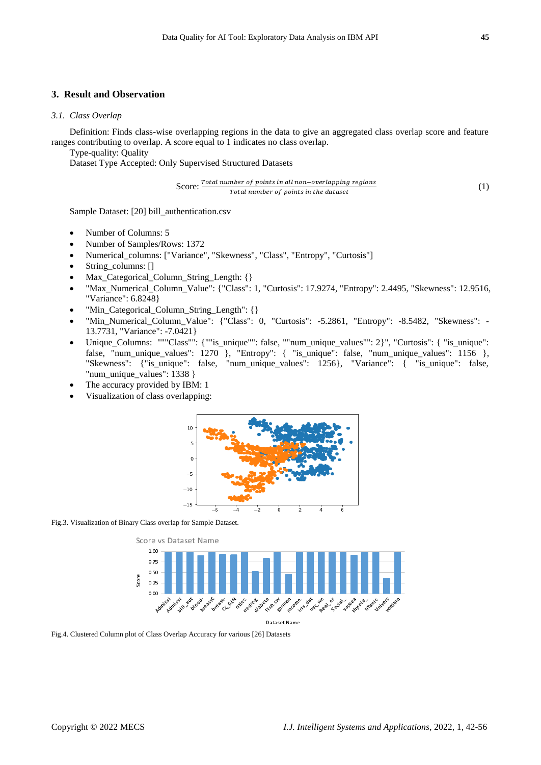## **3. Result and Observation**

## *3.1. Class Overlap*

Definition: Finds class-wise overlapping regions in the data to give an aggregated class overlap score and feature ranges contributing to overlap. A score equal to 1 indicates no class overlap.

Type-quality: Quality

Dataset Type Accepted: Only Supervised Structured Datasets

$$
Score: \frac{Total number of points in all non-overlapping regions}{Total number of points in the dataset}
$$
\n(1)

Sample Dataset: [20] bill\_authentication.csv

- Number of Columns: 5
- Number of Samples/Rows: 1372
- Numerical\_columns: ["Variance", "Skewness", "Class", "Entropy", "Curtosis"]
- String\_columns: []
- Max\_Categorical\_Column\_String\_Length: {}
- "Max\_Numerical\_Column\_Value": {"Class": 1, "Curtosis": 17.9274, "Entropy": 2.4495, "Skewness": 12.9516, "Variance": 6.8248}
- "Min\_Categorical\_Column\_String\_Length": {}
- "Min\_Numerical\_Column\_Value": {"Class": 0, "Curtosis": -5.2861, "Entropy": -8.5482, "Skewness": 13.7731, "Variance": -7.0421}
- Unique\_Columns: """Class"": {""is\_unique"": false, ""num\_unique\_values"": 2}", "Curtosis": { "is\_unique": false, "num\_unique\_values": 1270 }, "Entropy": { "is\_unique": false, "num\_unique\_values": 1156 }, "Skewness": {"is\_unique": false, "num\_unique\_values": 1256}, "Variance": { "is\_unique": false, "num\_unique\_values": 1338 }
- The accuracy provided by IBM: 1
- Visualization of class overlapping:



Fig.3. Visualization of Binary Class overlap for Sample Dataset.



**Dataset Name** 

Fig.4. Clustered Column plot of Class Overlap Accuracy for various [26] Datasets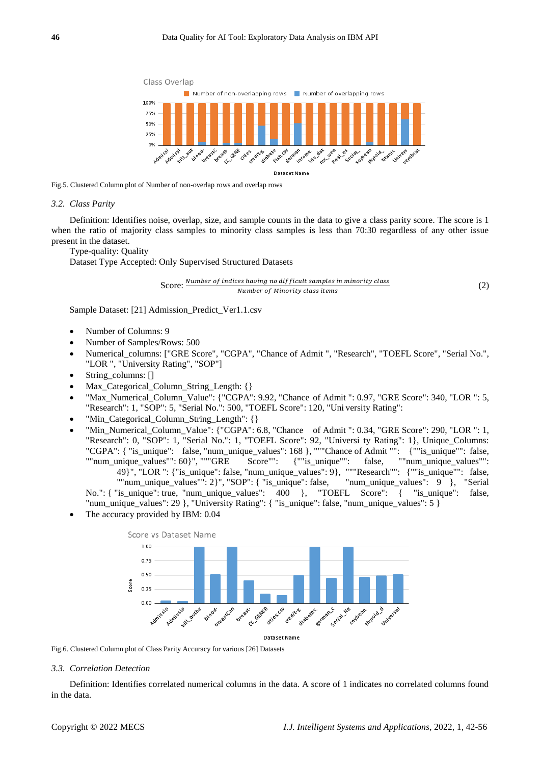

Fig.5. Clustered Column plot of Number of non-overlap rows and overlap rows

#### *3.2. Class Parity*

Definition: Identifies noise, overlap, size, and sample counts in the data to give a class parity score. The score is 1 when the ratio of majority class samples to minority class samples is less than 70:30 regardless of any other issue present in the dataset.

Type-quality: Quality

Dataset Type Accepted: Only Supervised Structured Datasets

Score: Number of indices having no difficult samples in minority class Number of Minority class items

Sample Dataset: [21] Admission\_Predict\_Ver1.1.csv

- Number of Columns: 9
- Number of Samples/Rows: 500
- Numerical\_columns: ["GRE Score", "CGPA", "Chance of Admit ", "Research", "TOEFL Score", "Serial No.", "LOR ", "University Rating", "SOP"]
- String\_columns: []
- Max\_Categorical\_Column\_String\_Length: {}
- "Max\_Numerical\_Column\_Value": {"CGPA": 9.92, "Chance of Admit ": 0.97, "GRE Score": 340, "LOR ": 5, "Research": 1, "SOP": 5, "Serial No.": 500, "TOEFL Score": 120, "Uni versity Rating":
- "Min\_Categorical\_Column\_String\_Length": {}
- "Min\_Numerical\_Column\_Value": {"CGPA": 6.8, "Chance of Admit ": 0.34, "GRE Score": 290, "LOR ": 1, "Research": 0, "SOP": 1, "Serial No.": 1, "TOEFL Score": 92, "Universi ty Rating": 1}, Unique\_Columns: "CGPA": { "is\_unique": false, "num\_unique\_values": 168 }, """Chance of Admit "": { ""is\_unique"": false, ""num\_unique values"": 60}", """GRE Score"": { ""is\_unique"": false, ""num\_unique\_values"": ""num\_unique\_values"": 60}", """GRE Score"": {""is\_unique"": false, 49}", "LOR ": {"is\_unique": false, "num\_unique\_values": 9}, """Research"": {""is\_unique"": false, ""num\_unique\_values"": 2}", "SOP": { "is\_unique": false, "num\_unique\_values": 9 }, "Serial No.": { "is\_unique": true, "num\_unique\_values": 400 }, "TOEFL Score": { "is\_unique": false, "num\_unique\_values": 29 }, "University Rating": { "is\_unique": false, "num\_unique\_values": 5 }
- The accuracy provided by IBM: 0.04



Fig.6. Clustered Column plot of Class Parity Accuracy for various [26] Datasets

#### *3.3. Correlation Detection*

Definition: Identifies correlated numerical columns in the data. A score of 1 indicates no correlated columns found in the data.

(2)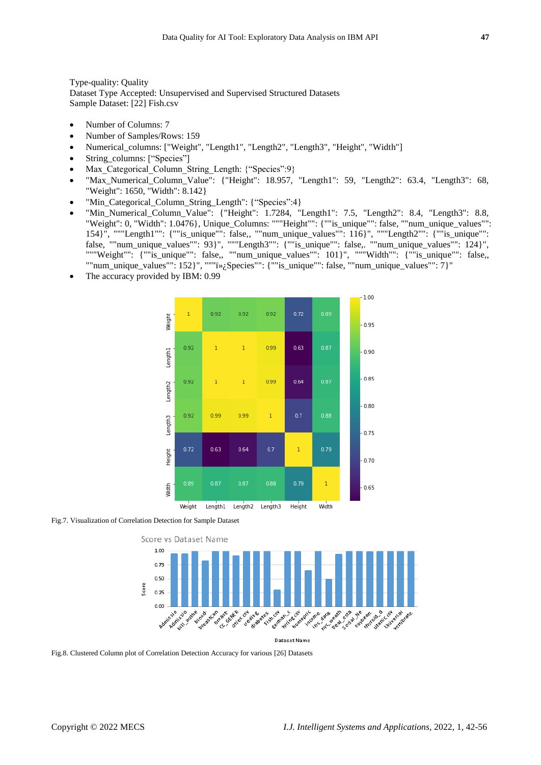Type-quality: Quality Dataset Type Accepted: Unsupervised and Supervised Structured Datasets Sample Dataset: [22] Fish.csv

- Number of Columns: 7
- Number of Samples/Rows: 159
- Numerical columns: ["Weight", "Length1", "Length2", "Length3", "Height", "Width"]
- String\_columns: ["Species"]
- Max Categorical Column String Length: {"Species":9}
- "Max\_Numerical\_Column\_Value": {"Height": 18.957, "Length1": 59, "Length2": 63.4, "Length3": 68, "Weight": 1650, "Width": 8.142}
- "Min\_Categorical\_Column\_String\_Length": {"Species":4}
- "Min\_Numerical\_Column\_Value": {"Height": 1.7284, "Length1": 7.5, "Length2": 8.4, "Length3": 8.8, "Weight": 0, "Width": 1.0476}, Unique\_Columns: """Height"": {""is\_unique"": false, ""num\_unique\_values"": 154}", """Length1"": {""is\_unique"": false,, ""num\_unique\_values"": 116}", """Length2"": {""is\_unique"": false, ""num\_unique\_values"": 93}", """Length3"": {""is\_unique"": false,. ""num\_unique\_values"": 124}", """Weight"": {""is\_unique"": false,, ""num\_unique\_values"": 101}", """Width"": {""is\_unique"": false,, ""num\_unique\_values"":  $152$ }", """  $\ddot{\nu}$ ; $\beta$ pecies"": {""is\_unique"": false, ""num\_unique\_values"": 7}"
- The accuracy provided by IBM: 0.99



Fig.7. Visualization of Correlation Detection for Sample Dataset



Fig.8. Clustered Column plot of Correlation Detection Accuracy for various [26] Datasets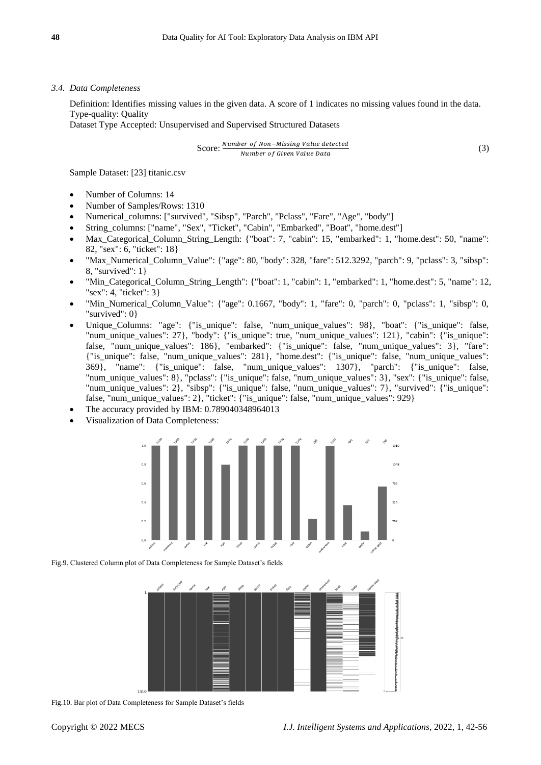### *3.4. Data Completeness*

Definition: Identifies missing values in the given data. A score of 1 indicates no missing values found in the data. Type-quality: Quality

Dataset Type Accepted: Unsupervised and Supervised Structured Datasets

$$
Score: \frac{Number\ of\ Non-Missing\ Value\ detected}{Number\ of\ Given\ Value\ Data}
$$
\n(3)

Sample Dataset: [23] titanic.csv

- Number of Columns: 14
- Number of Samples/Rows: 1310
- Numerical\_columns: ["survived", "Sibsp", "Parch", "Pclass", "Fare", "Age", "body"]
- String\_columns: ["name", "Sex", "Ticket", "Cabin", "Embarked", "Boat", "home.dest"]
- Max\_Categorical\_Column\_String\_Length: {"boat": 7, "cabin": 15, "embarked": 1, "home.dest": 50, "name": 82, "sex": 6, "ticket": 18}
- "Max\_Numerical\_Column\_Value": {"age": 80, "body": 328, "fare": 512.3292, "parch": 9, "pclass": 3, "sibsp": 8, "survived": 1}
- "Min\_Categorical\_Column\_String\_Length": {"boat": 1, "cabin": 1, "embarked": 1, "home.dest": 5, "name": 12, "sex": 4, "ticket": 3}
- "Min\_Numerical\_Column\_Value": {"age": 0.1667, "body": 1, "fare": 0, "parch": 0, "pclass": 1, "sibsp": 0, "survived": 0}
- Unique\_Columns: "age": {"is\_unique": false, "num\_unique\_values": 98}, "boat": {"is\_unique": false, "num\_unique\_values": 27}, "body": {"is\_unique": true, "num\_unique\_values": 121}, "cabin": {"is\_unique": false, "num\_unique\_values": 186}, "embarked": {"is\_unique": false, "num\_unique\_values": 3}, "fare": {"is\_unique": false, "num\_unique\_values": 281}, "home.dest": {"is\_unique": false, "num\_unique\_values": 369}, "name": {"is\_unique": false, "num\_unique\_values": 1307}, "parch": {"is\_unique": false, "num\_unique\_values": 8}, "pclass": {"is\_unique": false, "num\_unique\_values": 3}, "sex": {"is\_unique": false, "num\_unique\_values": 2}, "sibsp": {"is\_unique": false, "num\_unique\_values": 7}, "survived": {"is\_unique": false, "num\_unique\_values": 2}, "ticket": {"is\_unique": false, "num\_unique\_values": 929}
- The accuracy provided by IBM: 0.789040348964013
- Visualization of Data Completeness:



Fig.9. Clustered Column plot of Data Completeness for Sample Dataset's fields



Fig.10. Bar plot of Data Completeness for Sample Dataset's fields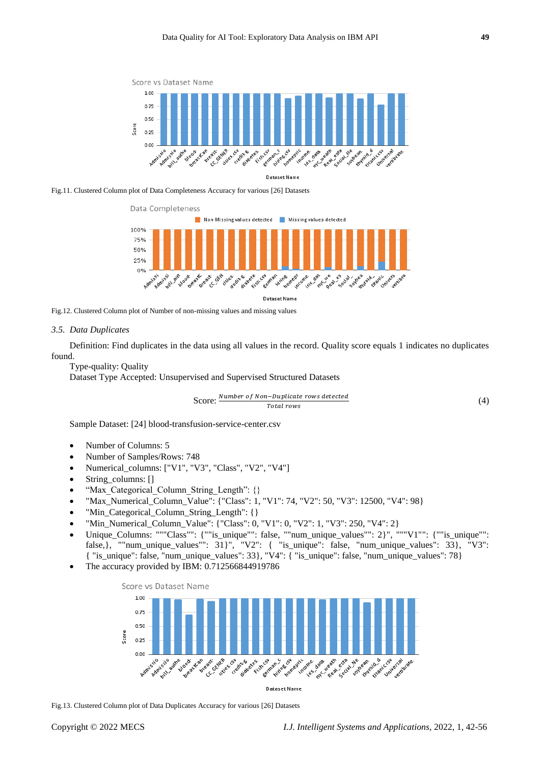

Fig.11. Clustered Column plot of Data Completeness Accuracy for various [26] Datasets



**Dataset Name** 

Fig.12. Clustered Column plot of Number of non-missing values and missing values

#### *3.5. Data Duplicates*

Definition: Find duplicates in the data using all values in the record. Quality score equals 1 indicates no duplicates found.

Type-quality: Quality

Dataset Type Accepted: Unsupervised and Supervised Structured Datasets

$$
Score: \frac{Number\ of\ Non-Duplicate\ rows\ detected}{Total\ rows} \tag{4}
$$

Sample Dataset: [24] blood-transfusion-service-center.csv

- Number of Columns: 5
- Number of Samples/Rows: 748
- Numerical\_columns: ["V1", "V3", "Class", "V2", "V4"]
- String\_columns: []
- "Max\_Categorical\_Column\_String\_Length": {}
- "Max\_Numerical\_Column\_Value": {"Class": 1, "V1": 74, "V2": 50, "V3": 12500, "V4": 98}
- "Min Categorical Column String Length": {}
- "Min\_Numerical\_Column\_Value": {"Class": 0, "V1": 0, "V2": 1, "V3": 250, "V4": 2}
- Unique\_Columns: """Class"": {""is\_unique"": false, ""num\_unique\_values"": 2}", """V1"": {""is\_unique"": false, with the columns. The case of the angle of the column contract the column of the column state of the column contract the column contract of the column contract of the column column column column column column column { "is\_unique": false, "num\_unique\_values": 33}, "V4": { "is\_unique": false, "num\_unique\_values": 78}
- The accuracy provided by IBM: 0.712566844919786



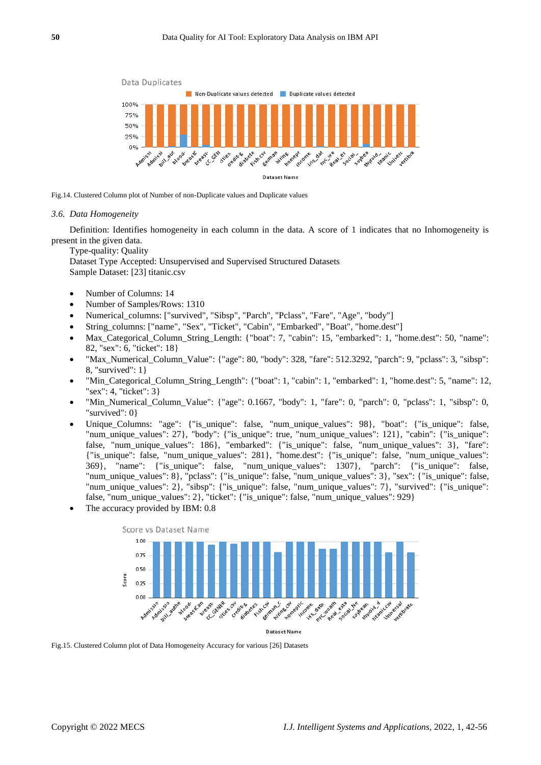

Fig.14. Clustered Column plot of Number of non-Duplicate values and Duplicate values

#### *3.6. Data Homogeneity*

Definition: Identifies homogeneity in each column in the data. A score of 1 indicates that no Inhomogeneity is present in the given data.

Type-quality: Quality

Dataset Type Accepted: Unsupervised and Supervised Structured Datasets Sample Dataset: [23] titanic.csv

- Number of Columns: 14
- Number of Samples/Rows: 1310
- Numerical\_columns: ["survived", "Sibsp", "Parch", "Pclass", "Fare", "Age", "body"]
- String\_columns: ["name", "Sex", "Ticket", "Cabin", "Embarked", "Boat", "home.dest"]
- Max\_Categorical\_Column\_String\_Length: {"boat": 7, "cabin": 15, "embarked": 1, "home.dest": 50, "name": 82, "sex": 6, "ticket": 18}
- "Max\_Numerical\_Column\_Value": {"age": 80, "body": 328, "fare": 512.3292, "parch": 9, "pclass": 3, "sibsp": 8, "survived": 1}
- "Min\_Categorical\_Column\_String\_Length": {"boat": 1, "cabin": 1, "embarked": 1, "home.dest": 5, "name": 12, "sex": 4, "ticket": 3}
- "Min\_Numerical\_Column\_Value": {"age": 0.1667, "body": 1, "fare": 0, "parch": 0, "pclass": 1, "sibsp": 0, "survived": 0}
- Unique\_Columns: "age": {"is\_unique": false, "num\_unique\_values": 98}, "boat": {"is\_unique": false, "num\_unique\_values": 27}, "body": {"is\_unique": true, "num\_unique\_values": 121}, "cabin": {"is\_unique": false, "num\_unique\_values": 186}, "embarked": {"is\_unique": false, "num\_unique\_values": 3}, "fare": {"is\_unique": false, "num\_unique\_values": 281}, "home.dest": {"is\_unique": false, "num\_unique\_values": 369}, "name": {"is\_unique": false, "num\_unique\_values": 1307}, "parch": {"is\_unique": false, "num\_unique\_values": 8}, "pclass": {"is\_unique": false, "num\_unique\_values": 3}, "sex": {"is\_unique": false, "num\_unique\_values": 2}, "sibsp": {"is\_unique": false, "num\_unique\_values": 7}, "survived": {"is\_unique": false, "num\_unique\_values": 2}, "ticket": {"is\_unique": false, "num\_unique\_values": 929}
- The accuracy provided by IBM: 0.8



Fig.15. Clustered Column plot of Data Homogeneity Accuracy for various [26] Datasets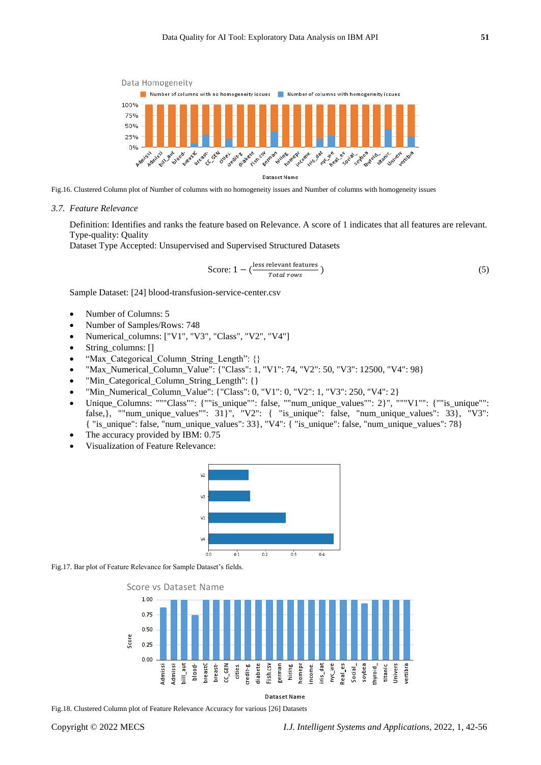

Fig.16. Clustered Column plot of Number of columns with no homogeneity issues and Number of columns with homogeneity issues

*3.7. Feature Relevance*

Definition: Identifies and ranks the feature based on Relevance. A score of 1 indicates that all features are relevant. Type-quality: Quality

Dataset Type Accepted: Unsupervised and Supervised Structured Datasets

$$
Score: 1 - \left(\frac{\text{less relevant features}}{\text{Total rows}}\right) \tag{5}
$$

Sample Dataset: [24] blood-transfusion-service-center.csv

- Number of Columns: 5
- Number of Samples/Rows: 748
- Numerical\_columns: ["V1", "V3", "Class", "V2", "V4"]
- String\_columns: []
- "Max Categorical Column String Length": {}
- "Max\_Numerical\_Column\_Value": {"Class": 1, "V1": 74, "V2": 50, "V3": 12500, "V4": 98}
- "Min\_Categorical\_Column\_String\_Length": {}
- "Min\_Numerical\_Column\_Value": {"Class": 0, "V1": 0, "V2": 1, "V3": 250, "V4": 2}
- Unique\_Columns: """Class"": {""is\_unique"": false, ""num\_unique\_values"": 2}", """V1"": {""is\_unique"": false,}, ""num\_unique\_values"": 31}", "V2": { "is\_unique": false, "num\_unique\_values": 33}, "V3": { "is\_unique": false, "num\_unique\_values": 33}, "V4": { "is\_unique": false, "num\_unique\_values": 78}
- The accuracy provided by IBM: 0.75
- Visualization of Feature Relevance:



Fig.17. Bar plot of Feature Relevance for Sample Dataset's fields.





Fig.18. Clustered Column plot of Feature Relevance Accuracy for various [26] Datasets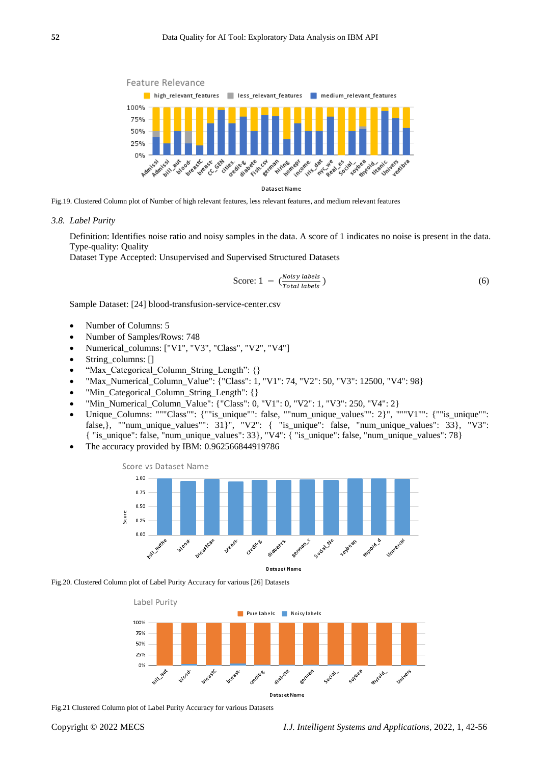

Fig.19. Clustered Column plot of Number of high relevant features, less relevant features, and medium relevant features

#### *3.8. Label Purity*

Definition: Identifies noise ratio and noisy samples in the data. A score of 1 indicates no noise is present in the data. Type-quality: Quality

Dataset Type Accepted: Unsupervised and Supervised Structured Datasets

$$
\text{Score: } 1 - \left(\frac{Noisy \text{ labels}}{Total \text{ labels}}\right) \tag{6}
$$

Sample Dataset: [24] blood-transfusion-service-center.csv

- Number of Columns: 5
- Number of Samples/Rows: 748
- Numerical\_columns: ["V1", "V3", "Class", "V2", "V4"]
- String\_columns: []
- "Max\_Categorical\_Column\_String\_Length": {}
- "Max\_Numerical\_Column\_Value": {"Class": 1, "V1": 74, "V2": 50, "V3": 12500, "V4": 98}
- "Min\_Categorical\_Column\_String\_Length": {}
- "Min\_Numerical\_Column\_Value": {"Class": 0, "V1": 0, "V2": 1, "V3": 250, "V4": 2}
- Unique\_Columns: """Class"": {""is\_unique"": false, ""num\_unique\_values"": 2}", """V1"": {""is\_unique"": false, }, ""num\_unique\_values"":  $31$ }", "V2": { "is\_unique": false, "num\_unique\_values":  $33$ }, "V3":  $\{$  "is\_unique": false, "num\_unique\_values": 33}, "V4":  $\{$  "is\_unique": false, "num\_unique\_values": 78}
- The accuracy provided by IBM: 0.962566844919786



Fig.20. Clustered Column plot of Label Purity Accuracy for various [26] Datasets



Fig.21 Clustered Column plot of Label Purity Accuracy for various Datasets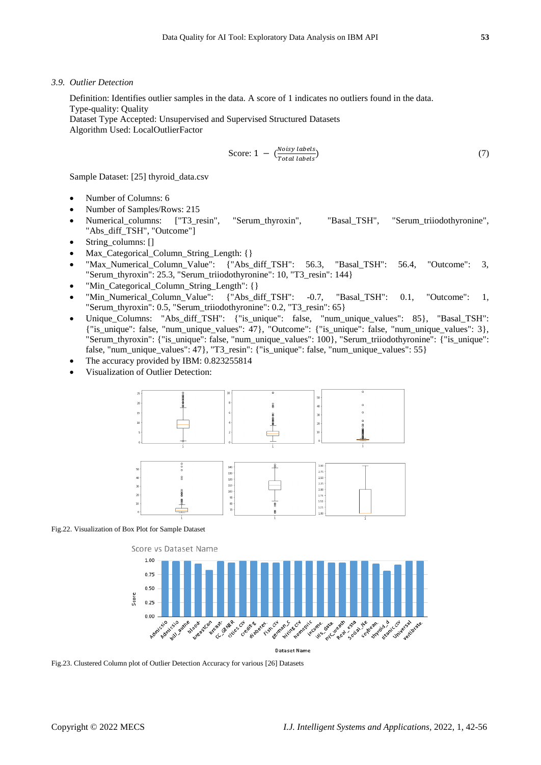*3.9. Outlier Detection*

Definition: Identifies outlier samples in the data. A score of 1 indicates no outliers found in the data. Type-quality: Quality

Dataset Type Accepted: Unsupervised and Supervised Structured Datasets Algorithm Used: LocalOutlierFactor

$$
\text{Score: } 1 - \left(\frac{Noisy \text{ labels}}{\text{Total labels}}\right) \tag{7}
$$

Sample Dataset: [25] thyroid\_data.csv

- Number of Columns: 6
- Number of Samples/Rows: 215
- Numerical\_columns: ["T3\_resin", "Serum\_thyroxin", "Basal\_TSH", "Serum\_triiodothyronine", "Abs\_diff\_TSH", "Outcome"]
- String\_columns: []
- Max\_Categorical\_Column\_String\_Length: {}
- "Max\_Numerical\_Column\_Value": {"Abs\_diff\_TSH": 56.3, "Basal\_TSH": 56.4, "Outcome": 3, "Serum\_thyroxin": 25.3, "Serum\_triiodothyronine": 10, "T3\_resin": 144}
- "Min Categorical Column String Length": {}
- "Min\_Numerical\_Column\_Value": {"Abs\_diff\_TSH": -0.7, "Basal\_TSH": 0.1, "Outcome": 1, "Serum\_thyroxin": 0.5, "Serum\_triiodothyronine": 0.2, "T3\_resin": 65}
- Unique Columns: "Abs\_diff\_TSH": {"is\_unique": false, "num\_unique\_values": 85}, "Basal\_TSH": {"is\_unique": false, "num\_unique\_values": 47}, "Outcome": {"is\_unique": false, "num\_unique\_values": 3}, "Serum\_thyroxin": {"is\_unique": false, "num\_unique\_values": 100}, "Serum\_triiodothyronine": {"is\_unique": false, "num\_unique\_values": 47}, "T3\_resin": {"is\_unique": false, "num\_unique\_values": 55}
- The accuracy provided by IBM: 0.823255814
- Visualization of Outlier Detection:



# Fig.22. Visualization of Box Plot for Sample Dataset



Fig.23. Clustered Column plot of Outlier Detection Accuracy for various [26] Datasets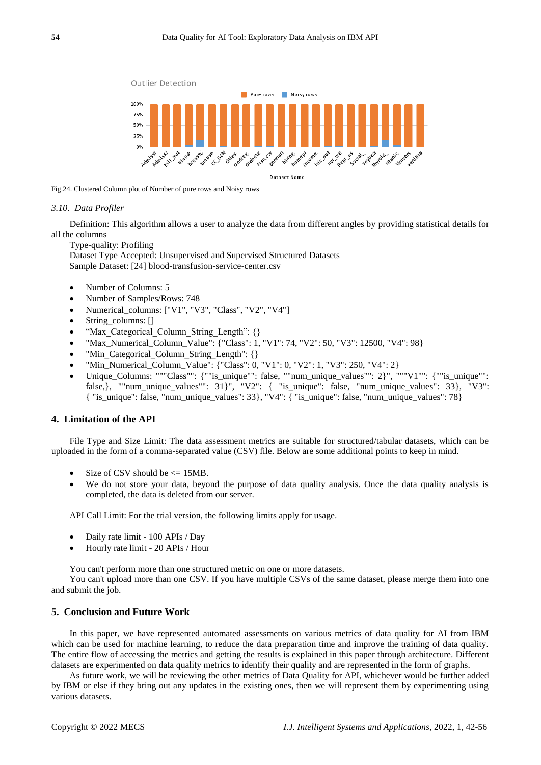

Fig.24. Clustered Column plot of Number of pure rows and Noisy rows

#### *3.10. Data Profiler*

Definition: This algorithm allows a user to analyze the data from different angles by providing statistical details for all the columns

Type-quality: Profiling

Dataset Type Accepted: Unsupervised and Supervised Structured Datasets Sample Dataset: [24] blood-transfusion-service-center.csv

- Number of Columns: 5
- Number of Samples/Rows: 748
- Numerical\_columns: ["V1", "V3", "Class", "V2", "V4"]
- String\_columns: []
- "Max Categorical Column String Length": {}
- "Max\_Numerical\_Column\_Value": {"Class": 1, "V1": 74, "V2": 50, "V3": 12500, "V4": 98}
- "Min Categorical Column String Length": {}
- "Min\_Numerical\_Column\_Value": {"Class": 0, "V1": 0, "V2": 1, "V3": 250, "V4": 2}
- Unique\_Columns: """Class"": {""is\_unique"": false, ""num\_unique\_values"": 2}", """V1"": {""is\_unique"": false,}, ""num\_unique\_values"": 31}", "V2": { "is\_unique": false, "num\_unique\_values": 33}, "V3": { "is\_unique": false, "num\_unique\_values": 33}, "V4": { "is\_unique": false, "num\_unique\_values": 78}

## **4. Limitation of the API**

File Type and Size Limit: The data assessment metrics are suitable for structured/tabular datasets, which can be uploaded in the form of a comma-separated value (CSV) file. Below are some additional points to keep in mind.

- Size of CSV should be  $\leq$  15MB.
- We do not store your data, beyond the purpose of data quality analysis. Once the data quality analysis is completed, the data is deleted from our server.

API Call Limit: For the trial version, the following limits apply for usage.

- Daily rate limit 100 APIs / Day
- Hourly rate limit 20 APIs / Hour

You can't perform more than one structured metric on one or more datasets.

You can't upload more than one CSV. If you have multiple CSVs of the same dataset, please merge them into one and submit the job.

## **5. Conclusion and Future Work**

In this paper, we have represented automated assessments on various metrics of data quality for AI from IBM which can be used for machine learning, to reduce the data preparation time and improve the training of data quality. The entire flow of accessing the metrics and getting the results is explained in this paper through architecture. Different datasets are experimented on data quality metrics to identify their quality and are represented in the form of graphs.

As future work, we will be reviewing the other metrics of Data Quality for API, whichever would be further added by IBM or else if they bring out any updates in the existing ones, then we will represent them by experimenting using various datasets.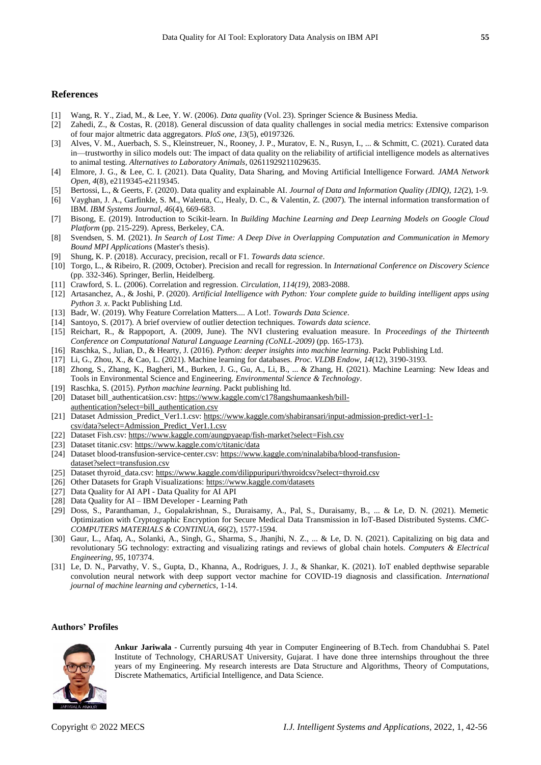## **References**

- [1] Wang, R. Y., Ziad, M., & Lee, Y. W. (2006). *Data quality* (Vol. 23). Springer Science & Business Media.
- [2] Zahedi, Z., & Costas, R. (2018). General discussion of data quality challenges in social media metrics: Extensive comparison of four major altmetric data aggregators. *PloS one*, *13*(5), e0197326.
- [3] Alves, V. M., Auerbach, S. S., Kleinstreuer, N., Rooney, J. P., Muratov, E. N., Rusyn, I., ... & Schmitt, C. (2021). Curated data in—trustworthy in silico models out: The impact of data quality on the reliability of artificial intelligence models as alternatives to animal testing. *Alternatives to Laboratory Animals*, 02611929211029635.
- [4] Elmore, J. G., & Lee, C. I. (2021). Data Quality, Data Sharing, and Moving Artificial Intelligence Forward. *JAMA Network Open*, *4*(8), e2119345-e2119345.
- [5] Bertossi, L., & Geerts, F. (2020). Data quality and explainable AI. *Journal of Data and Information Quality (JDIQ)*, *12*(2), 1-9.
- [6] Vayghan, J. A., Garfinkle, S. M., Walenta, C., Healy, D. C., & Valentin, Z. (2007). The internal information transformation of IBM. *IBM Systems Journal*, *46*(4), 669-683.
- [7] Bisong, E. (2019). Introduction to Scikit-learn. In *Building Machine Learning and Deep Learning Models on Google Cloud Platform* (pp. 215-229). Apress, Berkeley, CA.
- [8] Svendsen, S. M. (2021). *In Search of Lost Time: A Deep Dive in Overlapping Computation and Communication in Memory Bound MPI Applications* (Master's thesis).
- [9] Shung, K. P. (2018). Accuracy, precision, recall or F1. *Towards data science*.
- [10] Torgo, L., & Ribeiro, R. (2009, October). Precision and recall for regression. In *International Conference on Discovery Science* (pp. 332-346). Springer, Berlin, Heidelberg.
- [11] Crawford, S. L. (2006). Correlation and regression. *Circulation*, *114(19)*, 2083-2088.
- [12] Artasanchez, A., & Joshi, P. (2020). *Artificial Intelligence with Python: Your complete guide to building intelligent apps using Python 3. x*. Packt Publishing Ltd.
- [13] Badr, W. (2019). Why Feature Correlation Matters.... A Lot!. *Towards Data Science*.
- [14] Santoyo, S. (2017). A brief overview of outlier detection techniques. *Towards data science*.
- [15] Reichart, R., & Rappoport, A. (2009, June). The NVI clustering evaluation measure. In *Proceedings of the Thirteenth Conference on Computational Natural Language Learning (CoNLL-2009)* (pp. 165-173).
- [16] Raschka, S., Julian, D., & Hearty, J. (2016). *Python: deeper insights into machine learning*. Packt Publishing Ltd.
- [17] Li, G., Zhou, X., & Cao, L. (2021). Machine learning for databases. *Proc. VLDB Endow*, *14*(12), 3190-3193.
- [18] Zhong, S., Zhang, K., Bagheri, M., Burken, J. G., Gu, A., Li, B., ... & Zhang, H. (2021). Machine Learning: New Ideas and Tools in Environmental Science and Engineering. *Environmental Science & Technology*.
- [19] Raschka, S. (2015). *Python machine learning*. Packt publishing ltd.
- [20] Dataset bill\_authenticatśion.csv: [https://www.kaggle.com/c178angshumaankesh/bill](https://www.kaggle.com/c178angshumaankesh/bill-authentication?select=bill_authentication.csv)[authentication?select=bill\\_authentication.csv](https://www.kaggle.com/c178angshumaankesh/bill-authentication?select=bill_authentication.csv)
- [21] Dataset Admission\_Predict\_Ver1.1.csv[: https://www.kaggle.com/shabiransari/input-admission-predict-ver1-1](https://www.kaggle.com/shabiransari/input-admission-predict-ver1-1-csv/data?select=Admission_Predict_Ver1.1.csv) [csv/data?select=Admission\\_Predict\\_Ver1.1.csv](https://www.kaggle.com/shabiransari/input-admission-predict-ver1-1-csv/data?select=Admission_Predict_Ver1.1.csv)
- [22] Dataset Fish.csv[: https://www.kaggle.com/aungpyaeap/fish-market?select=Fish.csv](https://www.kaggle.com/aungpyaeap/fish-market?select=Fish.csv)
- [23] Dataset titanic.csv[: https://www.kaggle.com/c/titanic/data](https://www.kaggle.com/c/titanic/data)
- [24] Dataset blood-transfusion-service-center.csv: [https://www.kaggle.com/ninalabiba/blood-transfusion](https://www.kaggle.com/ninalabiba/blood-transfusion-dataset?select=transfusion.csv)[dataset?select=transfusion.csv](https://www.kaggle.com/ninalabiba/blood-transfusion-dataset?select=transfusion.csv)
- [25] Dataset thyroid\_data.csv[: https://www.kaggle.com/dilippuripuri/thyroidcsv?select=thyroid.csv](https://www.kaggle.com/dilippuripuri/thyroidcsv?select=thyroid.csv)
- [26] Other Datasets for Graph Visualizations:<https://www.kaggle.com/datasets>
- [27] Data Quality for AI API Data Quality for AI API
- [28] Data Quality for AI IBM Developer Learning Path
- [29] Doss, S., Paranthaman, J., Gopalakrishnan, S., Duraisamy, A., Pal, S., Duraisamy, B., ... & Le, D. N. (2021). Memetic Optimization with Cryptographic Encryption for Secure Medical Data Transmission in IoT-Based Distributed Systems. *CMC-COMPUTERS MATERIALS & CONTINUA*, *66*(2), 1577-1594.
- [30] Gaur, L., Afaq, A., Solanki, A., Singh, G., Sharma, S., Jhanjhi, N. Z., ... & Le, D. N. (2021). Capitalizing on big data and revolutionary 5G technology: extracting and visualizing ratings and reviews of global chain hotels. *Computers & Electrical Engineering*, *95*, 107374.
- [31] Le, D. N., Parvathy, V. S., Gupta, D., Khanna, A., Rodrigues, J. J., & Shankar, K. (2021). IoT enabled depthwise separable convolution neural network with deep support vector machine for COVID-19 diagnosis and classification. *International journal of machine learning and cybernetics*, 1-14.

### **Authors' Profiles**



**Ankur Jariwala** - Currently pursuing 4th year in Computer Engineering of B.Tech. from Chandubhai S. Patel Institute of Technology, CHARUSAT University, Gujarat. I have done three internships throughout the three years of my Engineering. My research interests are Data Structure and Algorithms, Theory of Computations, Discrete Mathematics, Artificial Intelligence, and Data Science.